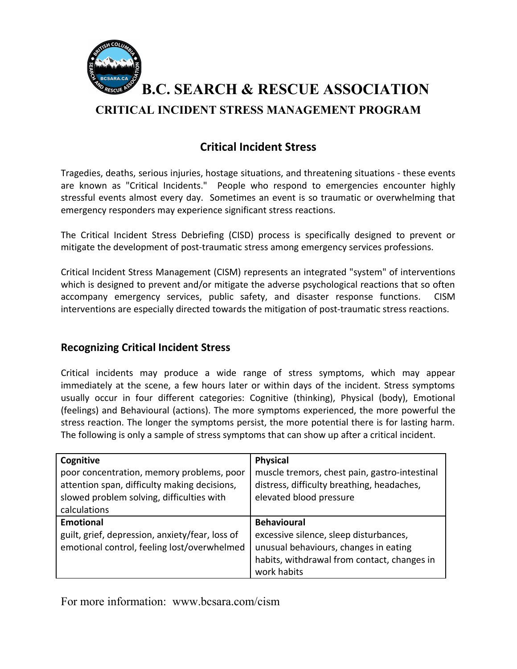

**B.C. SEARCH & RESCUE ASSOCIATION CRITICAL INCIDENT STRESS MANAGEMENT PROGRAM**

# **Critical Incident Stress**

Tragedies, deaths, serious injuries, hostage situations, and threatening situations - these events are known as "Critical Incidents." People who respond to emergencies encounter highly stressful events almost every day. Sometimes an event is so traumatic or overwhelming that emergency responders may experience significant stress reactions.

The Critical Incident Stress Debriefing (CISD) process is specifically designed to prevent or mitigate the development of post-traumatic stress among emergency services professions.

Critical Incident Stress Management (CISM) represents an integrated "system" of interventions which is designed to prevent and/or mitigate the adverse psychological reactions that so often accompany emergency services, public safety, and disaster response functions. CISM interventions are especially directed towards the mitigation of post-traumatic stress reactions.

### **Recognizing Critical Incident Stress**

Critical incidents may produce a wide range of stress symptoms, which may appear immediately at the scene, a few hours later or within days of the incident. Stress symptoms usually occur in four different categories: Cognitive (thinking), Physical (body), Emotional (feelings) and Behavioural (actions). The more symptoms experienced, the more powerful the stress reaction. The longer the symptoms persist, the more potential there is for lasting harm. The following is only a sample of stress symptoms that can show up after a critical incident.

| Cognitive                                       | <b>Physical</b>                               |
|-------------------------------------------------|-----------------------------------------------|
| poor concentration, memory problems, poor       | muscle tremors, chest pain, gastro-intestinal |
| attention span, difficulty making decisions,    | distress, difficulty breathing, headaches,    |
| slowed problem solving, difficulties with       | elevated blood pressure                       |
| calculations                                    |                                               |
| <b>Emotional</b>                                | <b>Behavioural</b>                            |
| guilt, grief, depression, anxiety/fear, loss of | excessive silence, sleep disturbances,        |
| emotional control, feeling lost/overwhelmed     | unusual behaviours, changes in eating         |
|                                                 | habits, withdrawal from contact, changes in   |
|                                                 | work habits                                   |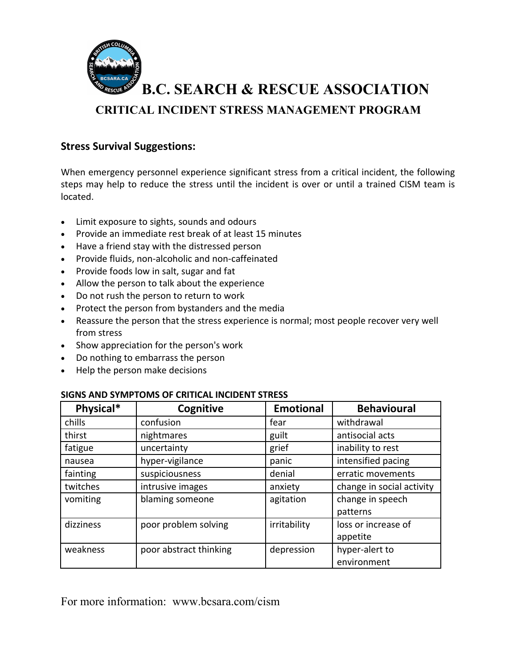

## **Stress Survival Suggestions:**

When emergency personnel experience significant stress from a critical incident, the following steps may help to reduce the stress until the incident is over or until a trained CISM team is located.

- · Limit exposure to sights, sounds and odours
- · Provide an immediate rest break of at least 15 minutes
- · Have a friend stay with the distressed person
- · Provide fluids, non-alcoholic and non-caffeinated
- · Provide foods low in salt, sugar and fat
- · Allow the person to talk about the experience
- · Do not rush the person to return to work
- · Protect the person from bystanders and the media
- · Reassure the person that the stress experience is normal; most people recover very well from stress
- · Show appreciation for the person's work
- · Do nothing to embarrass the person
- · Help the person make decisions

| Physical* | Cognitive              | <b>Emotional</b> | <b>Behavioural</b>        |
|-----------|------------------------|------------------|---------------------------|
| chills    | confusion              | fear             | withdrawal                |
| thirst    | nightmares             | guilt            | antisocial acts           |
| fatigue   | uncertainty            | grief            | inability to rest         |
| nausea    | hyper-vigilance        | panic            | intensified pacing        |
| fainting  | suspiciousness         | denial           | erratic movements         |
| twitches  | intrusive images       | anxiety          | change in social activity |
| vomiting  | blaming someone        | agitation        | change in speech          |
|           |                        |                  | patterns                  |
| dizziness | poor problem solving   | irritability     | loss or increase of       |
|           |                        |                  | appetite                  |
| weakness  | poor abstract thinking | depression       | hyper-alert to            |
|           |                        |                  | environment               |

#### **SIGNS AND SYMPTOMS OF CRITICAL INCIDENT STRESS**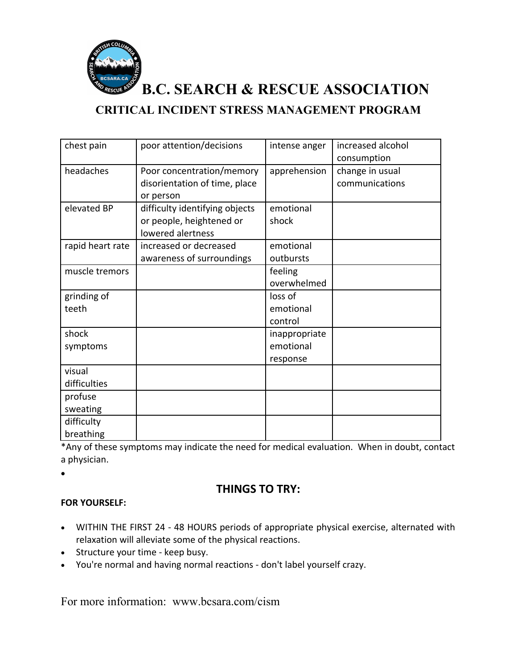

**B.C. SEARCH & RESCUE ASSOCIATION**

**CRITICAL INCIDENT STRESS MANAGEMENT PROGRAM**

| chest pain       | poor attention/decisions       | intense anger | increased alcohol |
|------------------|--------------------------------|---------------|-------------------|
|                  |                                |               | consumption       |
| headaches        | Poor concentration/memory      | apprehension  | change in usual   |
|                  | disorientation of time, place  |               | communications    |
|                  | or person                      |               |                   |
| elevated BP      | difficulty identifying objects | emotional     |                   |
|                  | or people, heightened or       | shock         |                   |
|                  | lowered alertness              |               |                   |
| rapid heart rate | increased or decreased         | emotional     |                   |
|                  | awareness of surroundings      | outbursts     |                   |
| muscle tremors   |                                | feeling       |                   |
|                  |                                | overwhelmed   |                   |
| grinding of      |                                | loss of       |                   |
| teeth            |                                | emotional     |                   |
|                  |                                | control       |                   |
| shock            |                                | inappropriate |                   |
| symptoms         |                                | emotional     |                   |
|                  |                                | response      |                   |
| visual           |                                |               |                   |
| difficulties     |                                |               |                   |
| profuse          |                                |               |                   |
| sweating         |                                |               |                   |
| difficulty       |                                |               |                   |
| breathing        |                                |               |                   |

\*Any of these symptoms may indicate the need for medical evaluation. When in doubt, contact a physician.

•

## **THINGS TO TRY:**

#### **FOR YOURSELF:**

- · WITHIN THE FIRST 24 48 HOURS periods of appropriate physical exercise, alternated with relaxation will alleviate some of the physical reactions.
- · Structure your time keep busy.
- · You're normal and having normal reactions don't label yourself crazy.